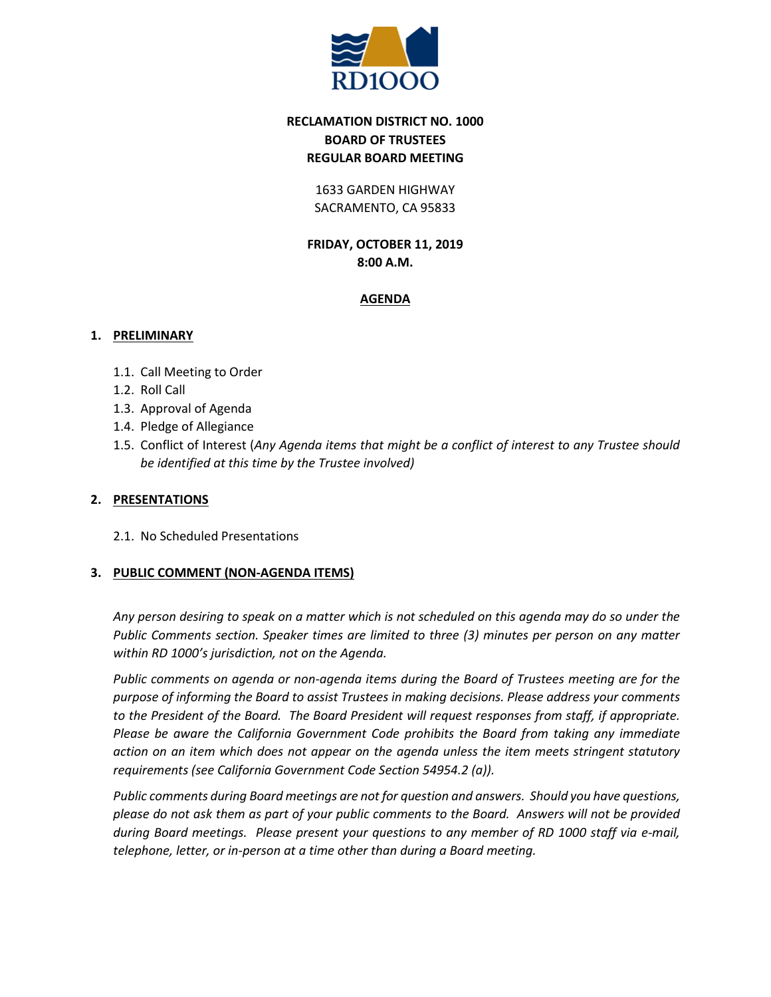

# **RECLAMATION DISTRICT NO. 1000 BOARD OF TRUSTEES REGULAR BOARD MEETING**

1633 GARDEN HIGHWAY SACRAMENTO, CA 95833

**FRIDAY, OCTOBER 11, 2019 8:00 A.M.**

## **AGENDA**

## **1. PRELIMINARY**

- 1.1. Call Meeting to Order
- 1.2. Roll Call
- 1.3. Approval of Agenda
- 1.4. Pledge of Allegiance
- 1.5. Conflict of Interest (*Any Agenda items that might be a conflict of interest to any Trustee should be identified at this time by the Trustee involved)*

## **2. PRESENTATIONS**

2.1. No Scheduled Presentations

## **3. PUBLIC COMMENT (NON-AGENDA ITEMS)**

*Any person desiring to speak on a matter which is not scheduled on this agenda may do so under the Public Comments section. Speaker times are limited to three (3) minutes per person on any matter within RD 1000's jurisdiction, not on the Agenda.*

*Public comments on agenda or non-agenda items during the Board of Trustees meeting are for the purpose of informing the Board to assist Trustees in making decisions. Please address your comments to the President of the Board. The Board President will request responses from staff, if appropriate. Please be aware the California Government Code prohibits the Board from taking any immediate action on an item which does not appear on the agenda unless the item meets stringent statutory requirements (see California Government Code Section 54954.2 (a)).*

*Public comments during Board meetings are not for question and answers. Should you have questions, please do not ask them as part of your public comments to the Board. Answers will not be provided during Board meetings. Please present your questions to any member of RD 1000 staff via e-mail, telephone, letter, or in-person at a time other than during a Board meeting.*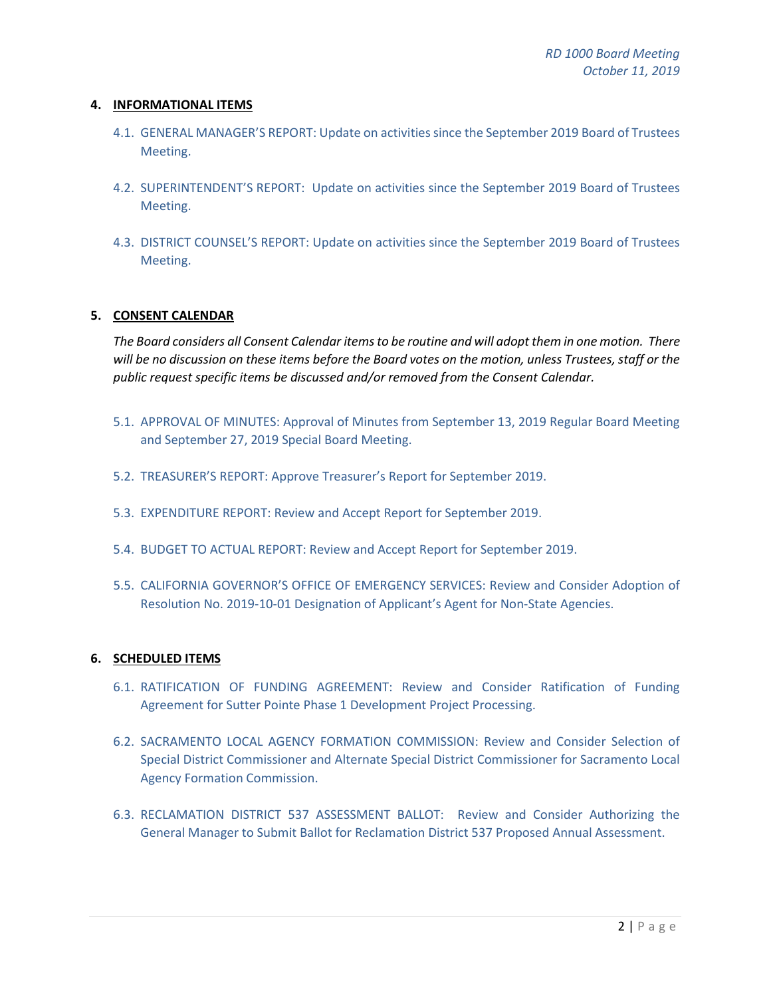#### **4. INFORMATIONAL ITEMS**

- 4.1. GENERAL MANAGER'S REPORT: Update on activities since the September 2019 Board of Trustees Meeting.
- 4.2. SUPERINTENDENT'S REPORT: Update on activities since the September 2019 Board of Trustees Meeting.
- 4.3. DISTRICT COUNSEL'S REPORT: Update on activities since the September 2019 Board of Trustees Meeting.

## **5. CONSENT CALENDAR**

*The Board considers all Consent Calendar items to be routine and will adopt them in one motion. There will be no discussion on these items before the Board votes on the motion, unless Trustees, staff or the public request specific items be discussed and/or removed from the Consent Calendar.*

- 5.1. APPROVAL OF MINUTES: Approval of Minutes from September 13, 2019 Regular Board Meeting and September 27, 2019 Special Board Meeting.
- 5.2. TREASURER'S REPORT: Approve Treasurer's Report for September 2019.
- 5.3. EXPENDITURE REPORT: Review and Accept Report for September 2019.
- 5.4. BUDGET TO ACTUAL REPORT: Review and Accept Report for September 2019.
- 5.5. CALIFORNIA GOVERNOR'S OFFICE OF EMERGENCY SERVICES: Review and Consider Adoption of Resolution No. 2019-10-01 Designation of Applicant's Agent for Non-State Agencies.

#### **6. SCHEDULED ITEMS**

- 6.1. RATIFICATION OF FUNDING AGREEMENT: Review and Consider Ratification of Funding Agreement for Sutter Pointe Phase 1 Development Project Processing.
- 6.2. SACRAMENTO LOCAL AGENCY FORMATION COMMISSION: Review and Consider Selection of Special District Commissioner and Alternate Special District Commissioner for Sacramento Local Agency Formation Commission.
- 6.3. RECLAMATION DISTRICT 537 ASSESSMENT BALLOT: Review and Consider Authorizing the General Manager to Submit Ballot for Reclamation District 537 Proposed Annual Assessment.